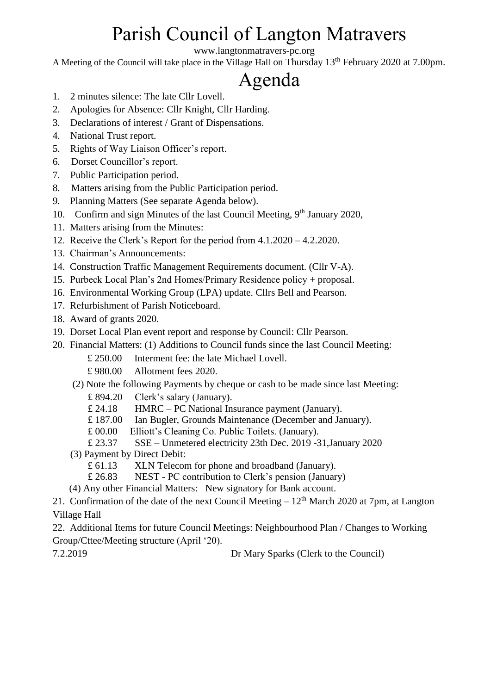# Parish Council of Langton Matravers

www.langtonmatravers-pc.org

A Meeting of the Council will take place in the Village Hall on Thursday 13th February 2020 at 7.00pm.

# Agenda

- 1. 2 minutes silence: The late Cllr Lovell.
- 2. Apologies for Absence: Cllr Knight, Cllr Harding.
- 3. Declarations of interest / Grant of Dispensations.
- 4. National Trust report.
- 5. Rights of Way Liaison Officer's report.
- 6. Dorset Councillor's report.
- 7. Public Participation period.
- 8. Matters arising from the Public Participation period.
- 9. Planning Matters (See separate Agenda below).
- 10. Confirm and sign Minutes of the last Council Meeting,  $9<sup>th</sup>$  January 2020,
- 11. Matters arising from the Minutes:
- 12. Receive the Clerk's Report for the period from 4.1.2020 4.2.2020.
- 13. Chairman's Announcements:
- 14. Construction Traffic Management Requirements document. (Cllr V-A).
- 15. Purbeck Local Plan's 2nd Homes/Primary Residence policy + proposal.
- 16. Environmental Working Group (LPA) update. Cllrs Bell and Pearson.
- 17. Refurbishment of Parish Noticeboard.
- 18. Award of grants 2020.
- 19. Dorset Local Plan event report and response by Council: Cllr Pearson.
- 20. Financial Matters: (1) Additions to Council funds since the last Council Meeting:
	- £ 250.00 Interment fee: the late Michael Lovell.
	- £ 980.00 Allotment fees 2020.
	- (2) Note the following Payments by cheque or cash to be made since last Meeting:
		- £ 894.20 Clerk's salary (January).
		- £ 24.18 HMRC PC National Insurance payment (January).
		- £ 187.00 Ian Bugler, Grounds Maintenance (December and January).
		- £ 00.00 Elliott's Cleaning Co. Public Toilets. (January).
		- £ 23.37 SSE Unmetered electricity 23th Dec. 2019 -31,January 2020
	- (3) Payment by Direct Debit:
		- £ 61.13 XLN Telecom for phone and broadband (January).
		- £ 26.83 NEST PC contribution to Clerk's pension (January)
	- (4) Any other Financial Matters: New signatory for Bank account.

21. Confirmation of the date of the next Council Meeting  $-12<sup>th</sup>$  March 2020 at 7pm, at Langton Village Hall

22. Additional Items for future Council Meetings: Neighbourhood Plan / Changes to Working Group/Cttee/Meeting structure (April '20).

7.2.2019 Dr Mary Sparks (Clerk to the Council)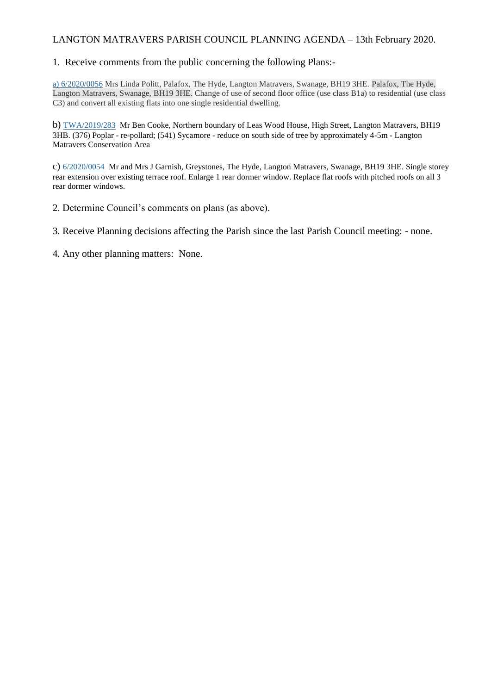#### LANGTON MATRAVERS PARISH COUNCIL PLANNING AGENDA – 13th February 2020.

#### 1. Receive comments from the public concerning the following Plans:-

a) [6/2020/0056](https://planningsearch.purbeck-dc.gov.uk/Planning/Display/6/2020/0056) Mrs Linda Politt, Palafox, The Hyde, Langton Matravers, Swanage, BH19 3HE. Palafox, The Hyde, Langton Matravers, Swanage, BH19 3HE. Change of use of second floor office (use class B1a) to residential (use class C3) and convert all existing flats into one single residential dwelling.

b) [TWA/2019/283](https://planningsearch.purbeck-dc.gov.uk/Planning/Display/TWA/2019/283) Mr Ben Cooke, Northern boundary of Leas Wood House, High Street, Langton Matravers, BH19 3HB. (376) Poplar - re-pollard; (541) Sycamore - reduce on south side of tree by approximately 4-5m - Langton Matravers Conservation Area

c) [6/2020/0054](https://planningsearch.purbeck-dc.gov.uk/Planning/Display/6/2020/0054) Mr and Mrs J Garnish, Greystones, The Hyde, Langton Matravers, Swanage, BH19 3HE. Single storey rear extension over existing terrace roof. Enlarge 1 rear dormer window. Replace flat roofs with pitched roofs on all 3 rear dormer windows.

2. Determine Council's comments on plans (as above).

3. Receive Planning decisions affecting the Parish since the last Parish Council meeting: - none.

4. Any other planning matters: None.